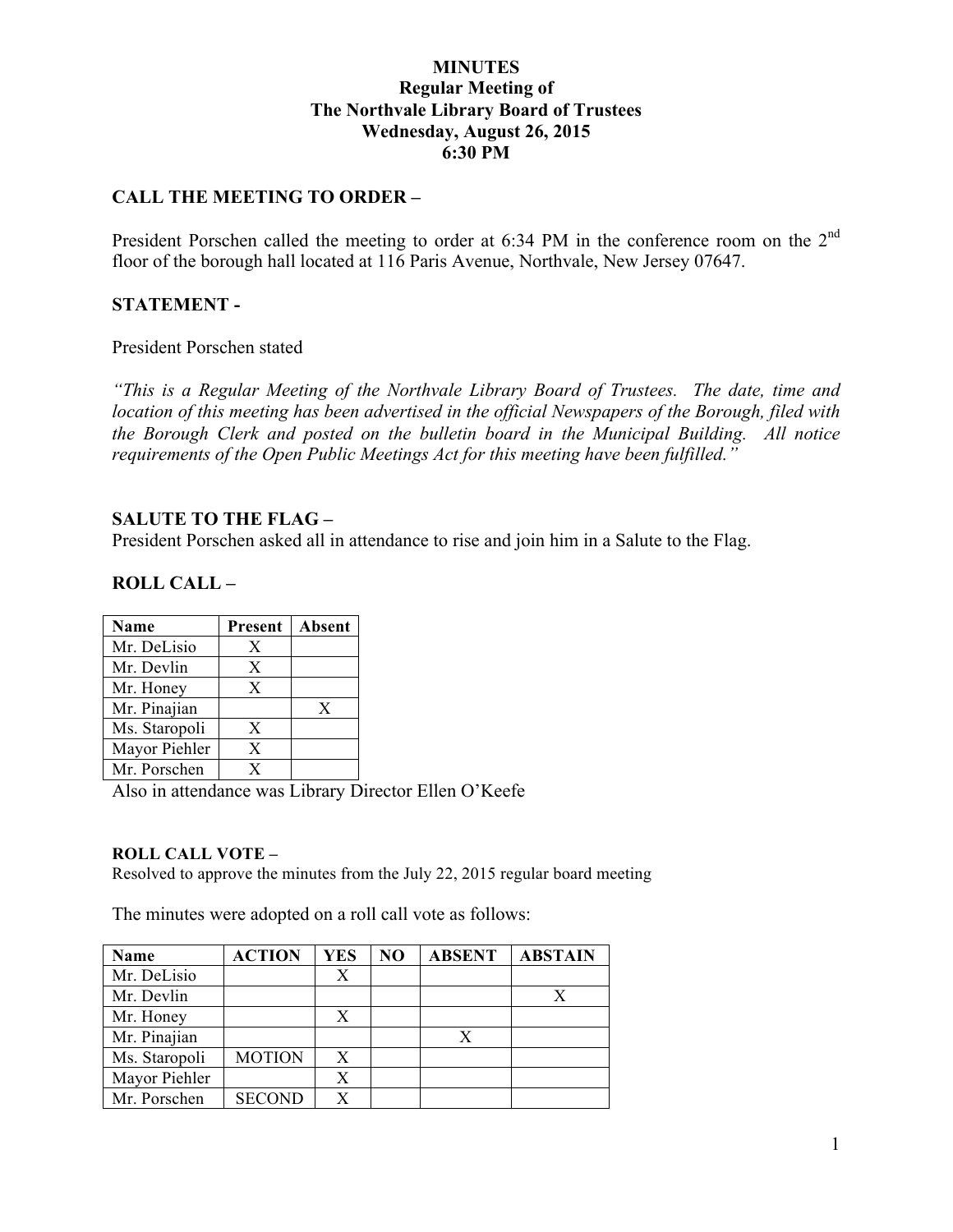### **MINUTES Regular Meeting of The Northvale Library Board of Trustees Wednesday, August 26, 2015 6:30 PM**

### **CALL THE MEETING TO ORDER –**

President Porschen called the meeting to order at 6:34 PM in the conference room on the 2<sup>nd</sup> floor of the borough hall located at 116 Paris Avenue, Northvale, New Jersey 07647.

#### **STATEMENT -**

President Porschen stated

*"This is a Regular Meeting of the Northvale Library Board of Trustees. The date, time and location of this meeting has been advertised in the official Newspapers of the Borough, filed with the Borough Clerk and posted on the bulletin board in the Municipal Building. All notice requirements of the Open Public Meetings Act for this meeting have been fulfilled."* 

#### **SALUTE TO THE FLAG –**

President Porschen asked all in attendance to rise and join him in a Salute to the Flag.

**ROLL CALL –** 

| <b>Name</b>   | Present | Absent |
|---------------|---------|--------|
| Mr. DeLisio   | X       |        |
| Mr. Devlin    | X       |        |
| Mr. Honey     | X       |        |
| Mr. Pinajian  |         | X      |
| Ms. Staropoli | X       |        |
| Mayor Piehler | X       |        |
| Mr. Porschen  | Y       |        |

Also in attendance was Library Director Ellen O'Keefe

#### **ROLL CALL VOTE –**

Resolved to approve the minutes from the July 22, 2015 regular board meeting

The minutes were adopted on a roll call vote as follows:

| <b>Name</b>   | <b>ACTION</b> | <b>YES</b> | N <sub>O</sub> | <b>ABSENT</b> | <b>ABSTAIN</b> |
|---------------|---------------|------------|----------------|---------------|----------------|
| Mr. DeLisio   |               | X          |                |               |                |
| Mr. Devlin    |               |            |                |               |                |
| Mr. Honey     |               | Х          |                |               |                |
| Mr. Pinajian  |               |            |                | X             |                |
| Ms. Staropoli | <b>MOTION</b> | X          |                |               |                |
| Mayor Piehler |               | Х          |                |               |                |
| Mr. Porschen  | <b>SECOND</b> |            |                |               |                |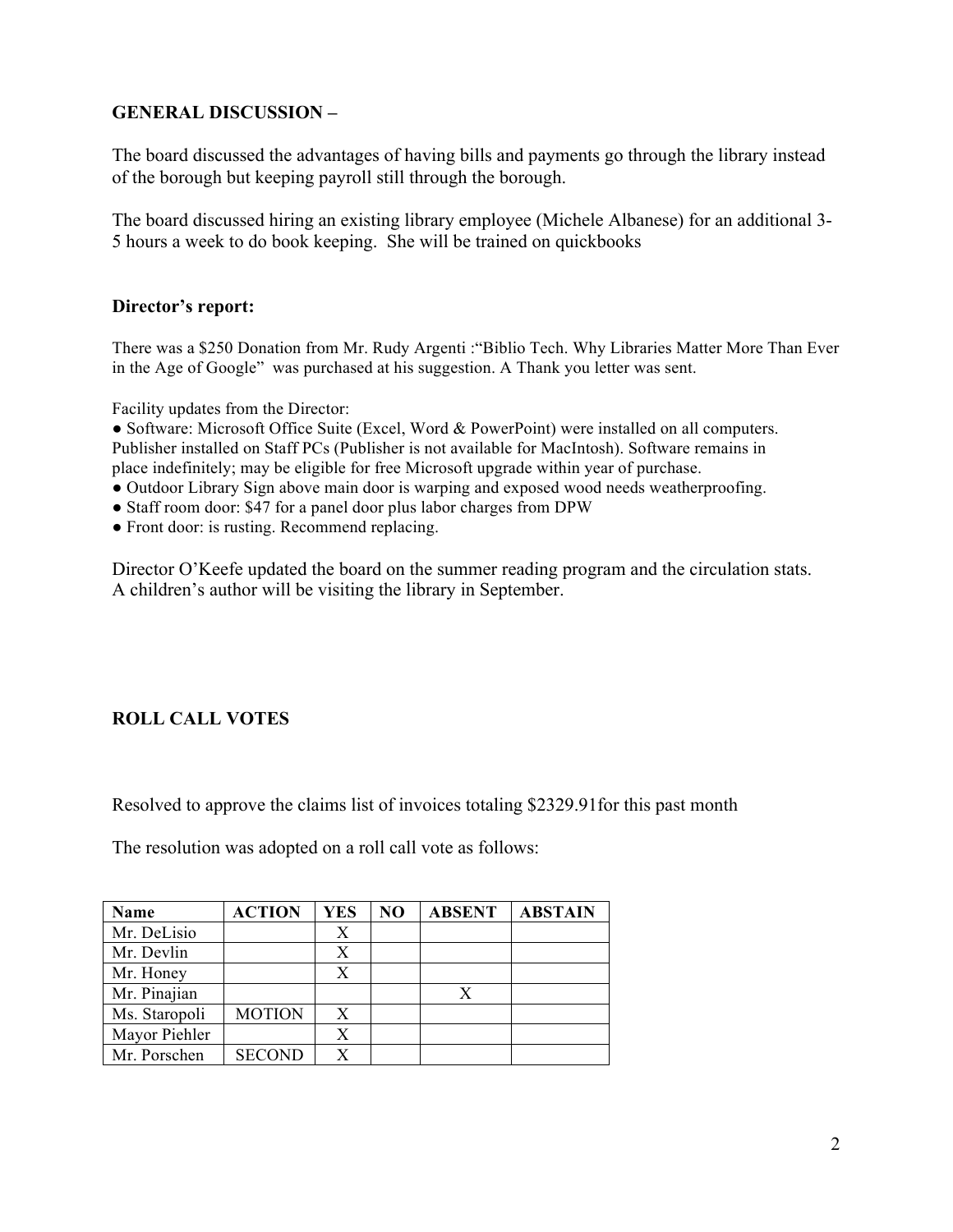# **GENERAL DISCUSSION –**

The board discussed the advantages of having bills and payments go through the library instead of the borough but keeping payroll still through the borough.

The board discussed hiring an existing library employee (Michele Albanese) for an additional 3- 5 hours a week to do book keeping. She will be trained on quickbooks

### **Director's report:**

There was a \$250 Donation from Mr. Rudy Argenti :"Biblio Tech. Why Libraries Matter More Than Ever in the Age of Google" was purchased at his suggestion. A Thank you letter was sent.

Facility updates from the Director:

● Software: Microsoft Office Suite (Excel, Word & PowerPoint) were installed on all computers. Publisher installed on Staff PCs (Publisher is not available for MacIntosh). Software remains in place indefinitely; may be eligible for free Microsoft upgrade within year of purchase.

- Outdoor Library Sign above main door is warping and exposed wood needs weatherproofing.
- Staff room door: \$47 for a panel door plus labor charges from DPW
- Front door: is rusting. Recommend replacing.

Director O'Keefe updated the board on the summer reading program and the circulation stats. A children's author will be visiting the library in September.

# **ROLL CALL VOTES**

Resolved to approve the claims list of invoices totaling \$2329.91for this past month

The resolution was adopted on a roll call vote as follows:

| Name          | <b>ACTION</b> | YES | N <sub>O</sub> | <b>ABSENT</b> | <b>ABSTAIN</b> |
|---------------|---------------|-----|----------------|---------------|----------------|
| Mr. DeLisio   |               | Х   |                |               |                |
| Mr. Devlin    |               |     |                |               |                |
| Mr. Honey     |               | X   |                |               |                |
| Mr. Pinajian  |               |     |                | X             |                |
| Ms. Staropoli | <b>MOTION</b> | X   |                |               |                |
| Mayor Piehler |               | X   |                |               |                |
| Mr. Porschen  | <b>SECOND</b> |     |                |               |                |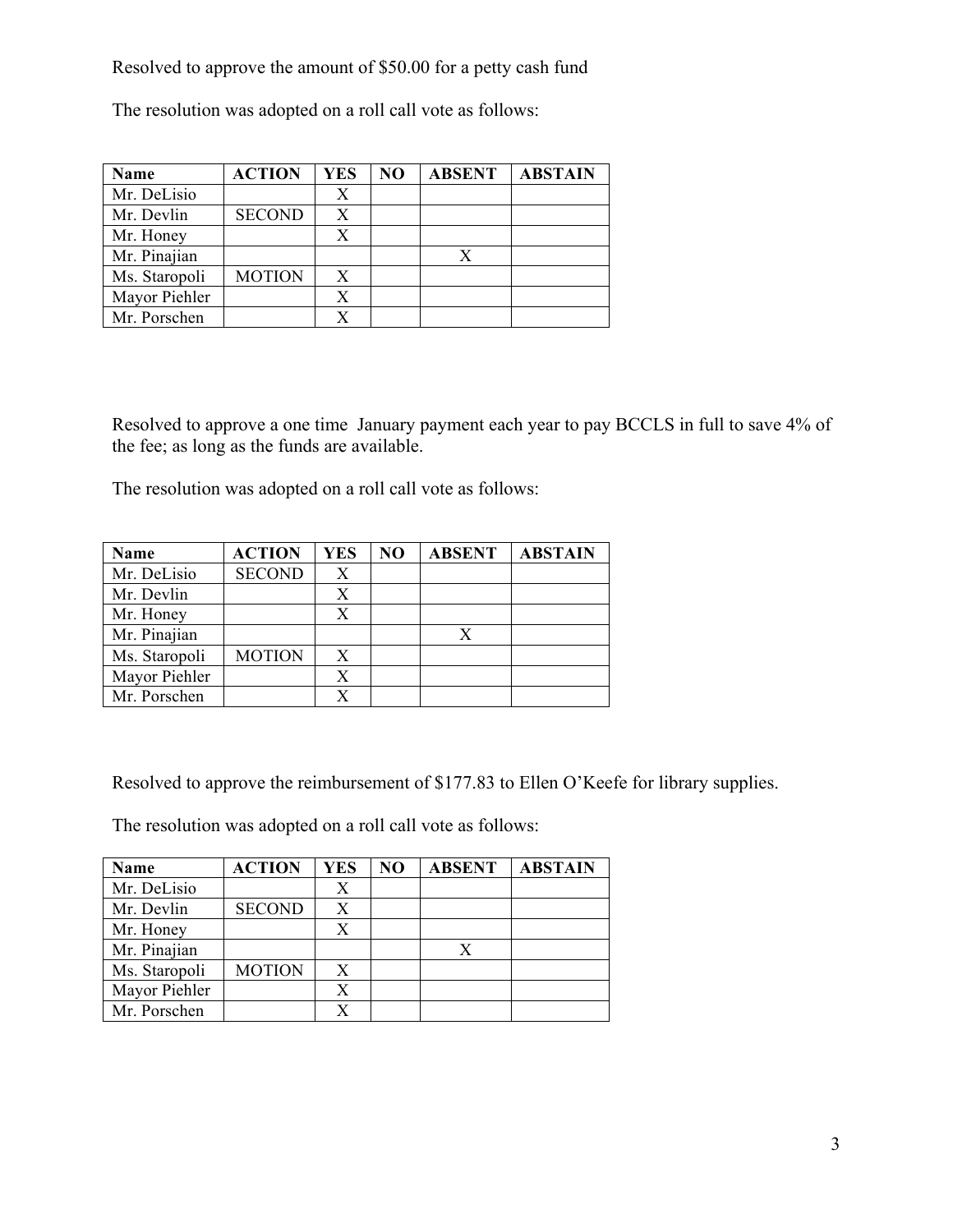Resolved to approve the amount of \$50.00 for a petty cash fund

The resolution was adopted on a roll call vote as follows:

| Name          | <b>ACTION</b> | <b>YES</b> | N <sub>O</sub> | <b>ABSENT</b> | <b>ABSTAIN</b> |
|---------------|---------------|------------|----------------|---------------|----------------|
| Mr. DeLisio   |               | X          |                |               |                |
| Mr. Devlin    | <b>SECOND</b> | X          |                |               |                |
| Mr. Honey     |               |            |                |               |                |
| Mr. Pinajian  |               |            |                |               |                |
| Ms. Staropoli | <b>MOTION</b> | X          |                |               |                |
| Mayor Piehler |               |            |                |               |                |
| Mr. Porschen  |               |            |                |               |                |

Resolved to approve a one time January payment each year to pay BCCLS in full to save 4% of the fee; as long as the funds are available.

The resolution was adopted on a roll call vote as follows:

| Name          | <b>ACTION</b> | YES | N <sub>O</sub> | <b>ABSENT</b> | <b>ABSTAIN</b> |
|---------------|---------------|-----|----------------|---------------|----------------|
| Mr. DeLisio   | <b>SECOND</b> | X   |                |               |                |
| Mr. Devlin    |               | X   |                |               |                |
| Mr. Honey     |               | X   |                |               |                |
| Mr. Pinajian  |               |     |                | X             |                |
| Ms. Staropoli | <b>MOTION</b> | X   |                |               |                |
| Mayor Piehler |               | X   |                |               |                |
| Mr. Porschen  |               |     |                |               |                |

Resolved to approve the reimbursement of \$177.83 to Ellen O'Keefe for library supplies.

The resolution was adopted on a roll call vote as follows:

| <b>Name</b>   | <b>ACTION</b> | <b>YES</b> | N <sub>O</sub> | <b>ABSENT</b> | <b>ABSTAIN</b> |
|---------------|---------------|------------|----------------|---------------|----------------|
| Mr. DeLisio   |               | Х          |                |               |                |
| Mr. Devlin    | <b>SECOND</b> | Х          |                |               |                |
| Mr. Honey     |               | X          |                |               |                |
| Mr. Pinajian  |               |            |                | X             |                |
| Ms. Staropoli | <b>MOTION</b> | X          |                |               |                |
| Mayor Piehler |               |            |                |               |                |
| Mr. Porschen  |               |            |                |               |                |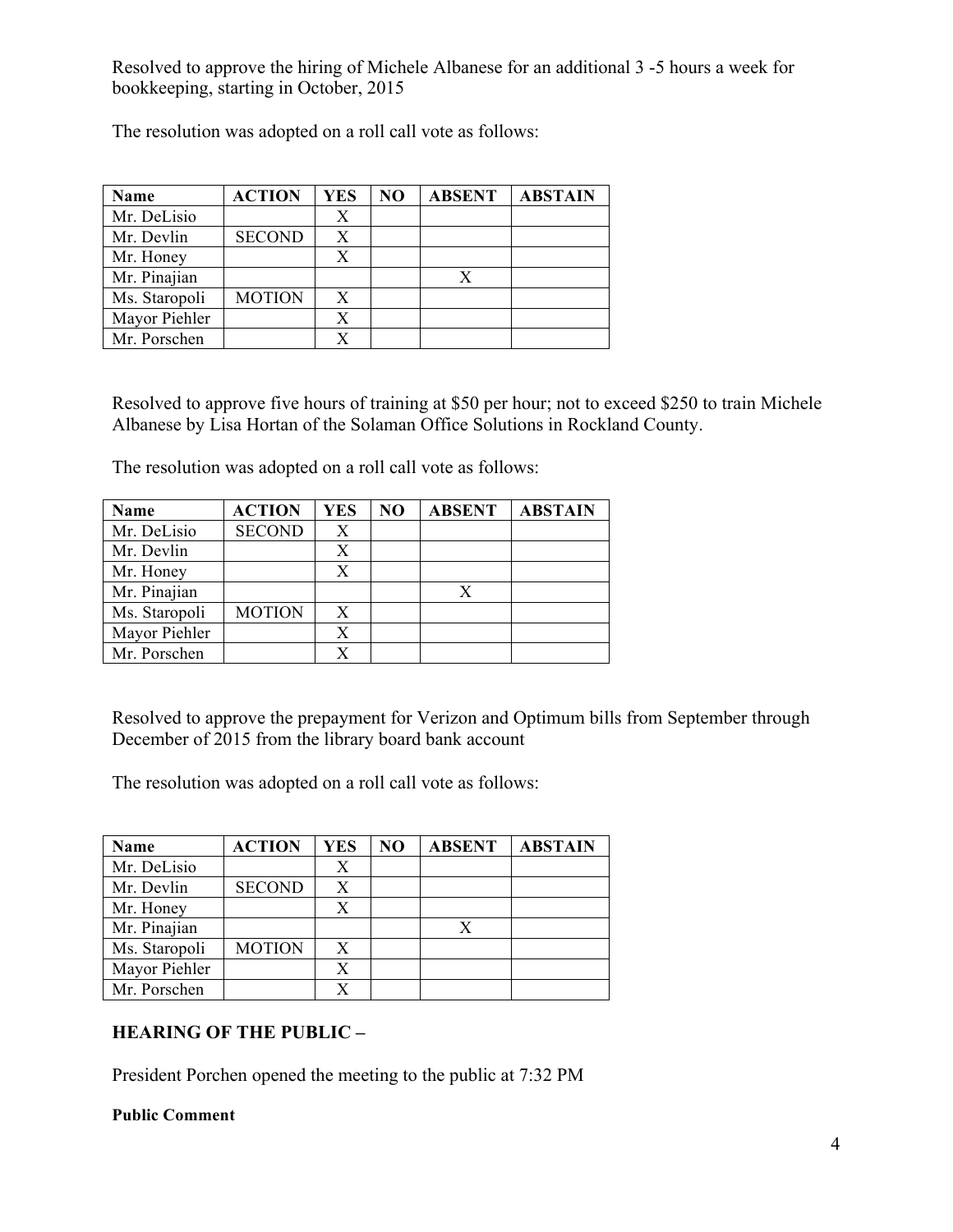Resolved to approve the hiring of Michele Albanese for an additional 3 -5 hours a week for bookkeeping, starting in October, 2015

The resolution was adopted on a roll call vote as follows:

| Name          | <b>ACTION</b> | <b>YES</b> | N <sub>O</sub> | <b>ABSENT</b> | <b>ABSTAIN</b> |
|---------------|---------------|------------|----------------|---------------|----------------|
| Mr. DeLisio   |               | X          |                |               |                |
| Mr. Devlin    | <b>SECOND</b> |            |                |               |                |
| Mr. Honey     |               |            |                |               |                |
| Mr. Pinajian  |               |            |                | X             |                |
| Ms. Staropoli | <b>MOTION</b> | X          |                |               |                |
| Mayor Piehler |               |            |                |               |                |
| Mr. Porschen  |               |            |                |               |                |

Resolved to approve five hours of training at \$50 per hour; not to exceed \$250 to train Michele Albanese by Lisa Hortan of the Solaman Office Solutions in Rockland County.

The resolution was adopted on a roll call vote as follows:

| Name          | <b>ACTION</b> | YES | N <sub>O</sub> | <b>ABSENT</b> | <b>ABSTAIN</b> |
|---------------|---------------|-----|----------------|---------------|----------------|
| Mr. DeLisio   | <b>SECOND</b> | X   |                |               |                |
| Mr. Devlin    |               |     |                |               |                |
| Mr. Honey     |               | Х   |                |               |                |
| Mr. Pinajian  |               |     |                | X             |                |
| Ms. Staropoli | <b>MOTION</b> | X   |                |               |                |
| Mayor Piehler |               | X   |                |               |                |
| Mr. Porschen  |               |     |                |               |                |

Resolved to approve the prepayment for Verizon and Optimum bills from September through December of 2015 from the library board bank account

The resolution was adopted on a roll call vote as follows:

| Name          | <b>ACTION</b> | YES | N <sub>O</sub> | <b>ABSENT</b> | <b>ABSTAIN</b> |
|---------------|---------------|-----|----------------|---------------|----------------|
| Mr. DeLisio   |               |     |                |               |                |
| Mr. Devlin    | <b>SECOND</b> | X   |                |               |                |
| Mr. Honey     |               |     |                |               |                |
| Mr. Pinajian  |               |     |                | X             |                |
| Ms. Staropoli | <b>MOTION</b> | X   |                |               |                |
| Mayor Piehler |               | X   |                |               |                |
| Mr. Porschen  |               |     |                |               |                |

# **HEARING OF THE PUBLIC –**

President Porchen opened the meeting to the public at 7:32 PM

#### **Public Comment**